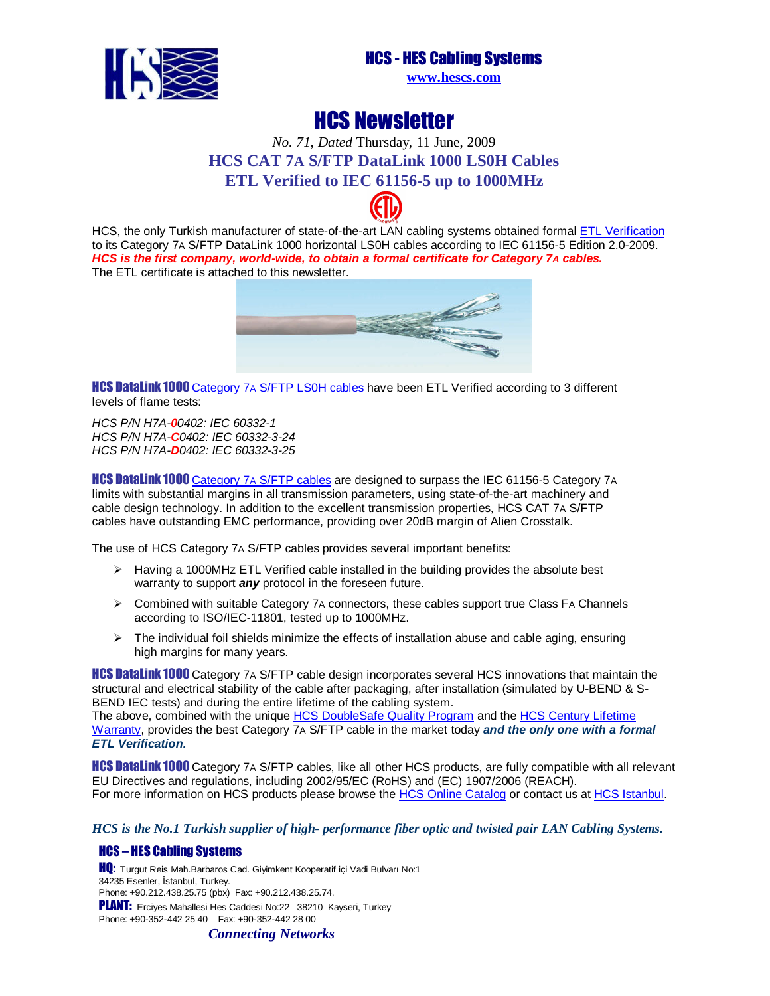

**www.hescs.com**

## HCS Newsletter

## *No. 71, Dated* Thursday, 11 June, 2009 **HCS CAT 7A S/FTP [DataL](http://www.intertek-etlsemko.com/portal/page/cust_portal/ITK_PGR/SELECT_YOUR_IND_PG/CABLING_WIRING_PROD_PG/CABLING_CUSTOMERS_PG/Participants_Certificate_Pages/HCS)ink 1000 LS0H Cables ETL Verified to IEC 61156-5 up to 1000MHz**



HCS, the only Turkish manufacturer of state-of-the-art LAN cabling systems obtained formal ETL Verification to its Category 7A S/FTP DataLink 1000 horizontal LS0H cables according to IEC 61156-5 Edition 2.0-2009. **HCS is the first company, world-wide, to obtain a formal certificate for Category 7A cables.** The ETL certificate is attached to this newsletter.



**HCS DataLink 1000** Category 7A S/FTP LS0H cables have been ETL Verified according to 3 different levels of flame tests:

HCS P/N H7A-**0**0402: IEC 60332-1 HCS P/N H7A-**C**0402: IEC 60332-3-24 HCS P/N H7A-**D**[0402: IEC 60332-3-25](http://www.hescs.com/katalogen/?dosya=74.htm) 

**HCS DataLink 1000** Category 7A S/FTP cables are designed to surpass the IEC 61156-5 Category 7A limits with substantial margins in all transmission parameters, using state-of-the-art machinery and cable design technology. In addition to the excellent transmission properties, HCS CAT 7A S/FTP cables have outstanding EMC performance, providing over 20dB margin of Alien Crosstalk.

The use of HCS Category 7A S/FTP cables provides several important benefits:

- $\triangleright$  Having a 1000MHz ETL Verified cable installed in the building provides the absolute best warranty to support **any** protocol in the foreseen future.
- $\triangleright$  Combined with suitable Category 7A connectors, these cables support true Class FA Channels according to ISO/IEC-11801, tested up to 1000MHz.
- $\triangleright$  The individual foil shields minimize the effects of installation abuse and cable aging, ensuring high margins for many years.

**HCS DataLink 1000** Category 7A S/FTP cable design incorporates several HCS innovations that maintain the structural and electrical stability of the cable after packaging, after installation (si[mulated by U-BEND & S](http://hescs.com/eng/?s=warranty.htm)-BEND IEC tests) and during the e[ntire lifetime of the cabling system.](http://hescs.com/eng/?s=quality.htm) 

The above, combined with the unique HCS DoubleSafe Quality Program and the HCS Century Lifetime Warranty, provides the best Category 7A S/FTP cable in the market today **and the only one with a formal ETL Verification.** 

**HCS DataLink 1000** Category 7A S/FTP cables, like all other HCS products, are fully compatible with all relevant EU Directives and regulations, including 2002/95/EC (R[oHS\) and \(EC\) 1907/2006 \(REACH\).](http://hescs.com/katalogen/)  For more information on HCS products please browse the HCS Online Catalog or contact us at [HCS Istanbul.](http://hescs.com/eng/?s=contact.php) 

*HCS is the No.1 Turkish supplier of high- performance fiber optic and twisted pair LAN Cabling Systems.* 

### HCS – HES Cabling Systems

HQ: Turgut Reis Mah.Barbaros Cad. Giyimkent Kooperatif içi Vadi Bulvarı No:1 34235 Esenler, İstanbul, Turkey. Phone: +90.212.438.25.75 (pbx) Fax: +90.212.438.25.74.

PLANT: Erciyes Mahallesi Hes Caddesi No:22 38210 Kayseri, Turkey

Phone: +90-352-442 25 40 Fax: +90-352-442 28 00

*Connecting Networks*